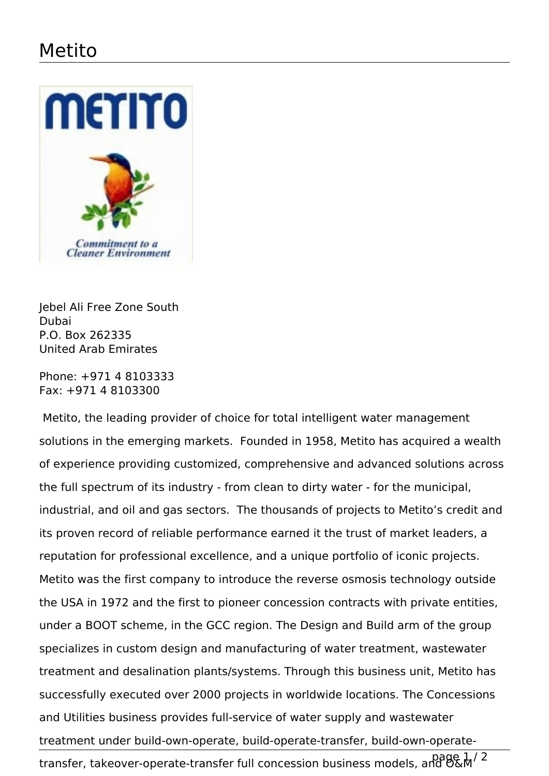## Metito



Jebel Ali Free Zone South Dubai P.O. Box 262335 United Arab Emirates

Phone: +971 4 8103333 Fax: +971 4 8103300

 Metito, the leading provider of choice for total intelligent water management solutions in the emerging markets. Founded in 1958, Metito has acquired a wealth of experience providing customized, comprehensive and advanced solutions across the full spectrum of its industry - from clean to dirty water - for the municipal, industrial, and oil and gas sectors. The thousands of projects to Metito's credit and its proven record of reliable performance earned it the trust of market leaders, a reputation for professional excellence, and a unique portfolio of iconic projects. Metito was the first company to introduce the reverse osmosis technology outside the USA in 1972 and the first to pioneer concession contracts with private entities, under a BOOT scheme, in the GCC region. The Design and Build arm of the group specializes in custom design and manufacturing of water treatment, wastewater treatment and desalination plants/systems. Through this business unit, Metito has successfully executed over 2000 projects in worldwide locations. The Concessions and Utilities business provides full-service of water supply and wastewater treatment under build-own-operate, build-operate-transfer, build-own-operatetransfer, takeover-operate-transfer full concession business models, and O&M<sup>/2</sup>